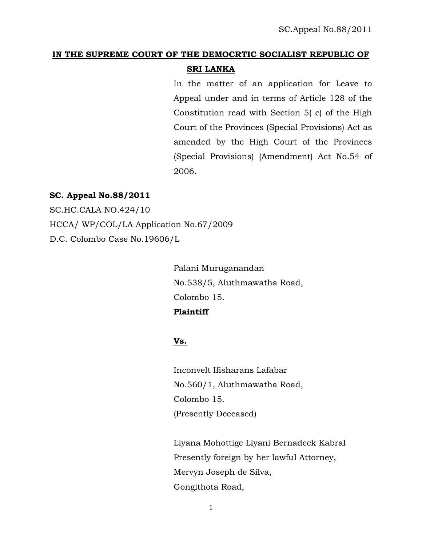# **IN THE SUPREME COURT OF THE DEMOCRTIC SOCIALIST REPUBLIC OF SRI LANKA**

In the matter of an application for Leave to Appeal under and in terms of Article 128 of the Constitution read with Section 5( c) of the High Court of the Provinces (Special Provisions) Act as amended by the High Court of the Provinces (Special Provisions) (Amendment) Act No.54 of 2006.

#### **SC. Appeal No.88/2011**

SC.HC.CALA NO.424/10 HCCA/ WP/COL/LA Application No.67/2009 D.C. Colombo Case No.19606/L

> Palani Muruganandan No.538/5, Aluthmawatha Road, Colombo 15.

## **Plaintiff**

## **Vs.**

Inconvelt Ifisharans Lafabar No.560/1, Aluthmawatha Road, Colombo 15. (Presently Deceased)

Liyana Mohottige Liyani Bernadeck Kabral Presently foreign by her lawful Attorney, Mervyn Joseph de Silva, Gongithota Road,

1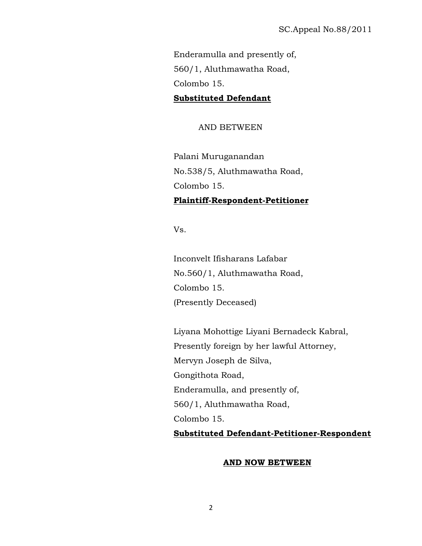Enderamulla and presently of, 560/1, Aluthmawatha Road, Colombo 15.

### **Substituted Defendant**

AND BETWEEN

Palani Muruganandan No.538/5, Aluthmawatha Road, Colombo 15. **Plaintiff-Respondent-Petitioner**

Vs.

Inconvelt Ifisharans Lafabar No.560/1, Aluthmawatha Road, Colombo 15. (Presently Deceased)

Liyana Mohottige Liyani Bernadeck Kabral, Presently foreign by her lawful Attorney, Mervyn Joseph de Silva, Gongithota Road, Enderamulla, and presently of, 560/1, Aluthmawatha Road, Colombo 15. **Substituted Defendant-Petitioner-Respondent**

#### **AND NOW BETWEEN**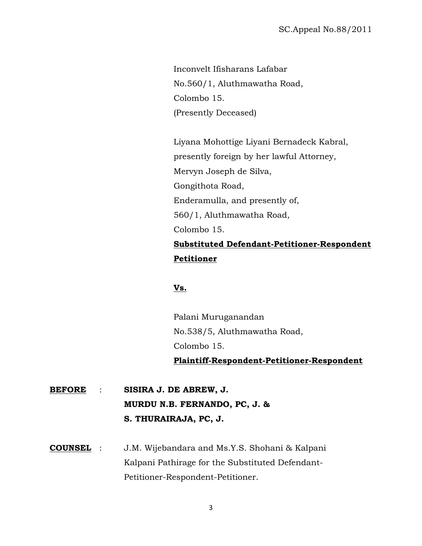Inconvelt Ifisharans Lafabar No.560/1, Aluthmawatha Road, Colombo 15. (Presently Deceased)

Liyana Mohottige Liyani Bernadeck Kabral, presently foreign by her lawful Attorney, Mervyn Joseph de Silva, Gongithota Road, Enderamulla, and presently of, 560/1, Aluthmawatha Road, Colombo 15. **Substituted Defendant-Petitioner-Respondent Petitioner**

## **Vs.**

Palani Muruganandan No.538/5, Aluthmawatha Road, Colombo 15. **Plaintiff-Respondent-Petitioner-Respondent**

**BEFORE** : **SISIRA J. DE ABREW, J. MURDU N.B. FERNANDO, PC, J. & S. THURAIRAJA, PC, J.**

**COUNSEL** : J.M. Wijebandara and Ms.Y.S. Shohani & Kalpani Kalpani Pathirage for the Substituted Defendant-Petitioner-Respondent-Petitioner.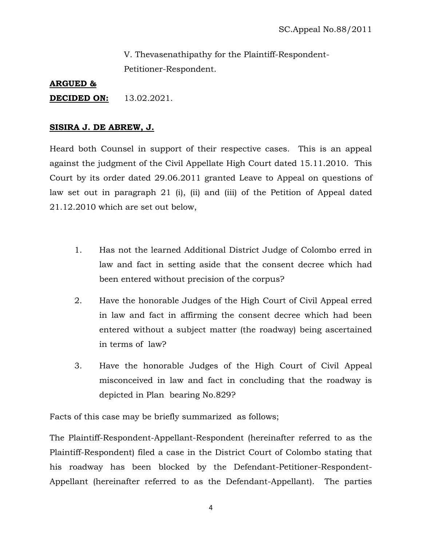V. Thevasenathipathy for the Plaintiff-Respondent-Petitioner-Respondent.

#### **ARGUED &**

**DECIDED ON:** 13.02.2021.

#### **SISIRA J. DE ABREW, J.**

Heard both Counsel in support of their respective cases. This is an appeal against the judgment of the Civil Appellate High Court dated 15.11.2010. This Court by its order dated 29.06.2011 granted Leave to Appeal on questions of law set out in paragraph 21 (i), (ii) and (iii) of the Petition of Appeal dated 21.12.2010 which are set out below,

- 1. Has not the learned Additional District Judge of Colombo erred in law and fact in setting aside that the consent decree which had been entered without precision of the corpus?
- 2. Have the honorable Judges of the High Court of Civil Appeal erred in law and fact in affirming the consent decree which had been entered without a subject matter (the roadway) being ascertained in terms of law?
- 3. Have the honorable Judges of the High Court of Civil Appeal misconceived in law and fact in concluding that the roadway is depicted in Plan bearing No.829?

Facts of this case may be briefly summarized as follows;

The Plaintiff-Respondent-Appellant-Respondent (hereinafter referred to as the Plaintiff-Respondent) filed a case in the District Court of Colombo stating that his roadway has been blocked by the Defendant-Petitioner-Respondent-Appellant (hereinafter referred to as the Defendant-Appellant). The parties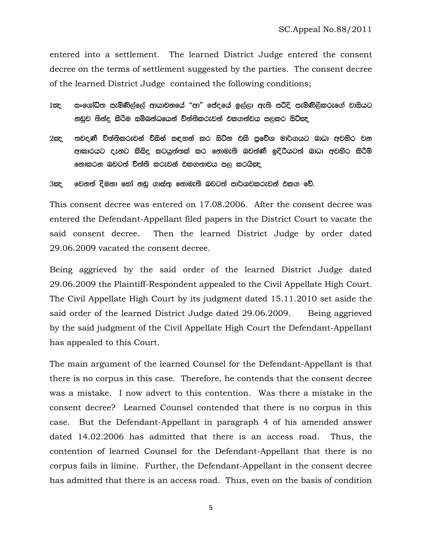entered into a settlement. The learned District Judge entered the consent decree on the terms of settlement suggested by the parties. The consent decree of the learned District Judge contained the following conditions;

1කු ු සංශෝධිත පැමිණිල්ලේ ආයාචනයේ "ආ" පේද,යේ ඉල්ලා ඇති පරිදි පැමිණිලිකරුගේ වාසියට නඩුව තින්දු කිරීම සම්බන්ධයෙන් ව්ත්තිකරුවන් එකගත්වය පලකර සිටිකද

2ඤ. තවදණී ව්ත්තිකරුවන් ව්සින් සඳහන් කර සිට්න එකි පුවේශ මාර්ගයට බාධා අවහිර වන ආකාරයට දැනට කිසිදු කටයුත්තක් කර නොමැති බවත්ණී ඉදිරියටත් බාධා අවහිර කිරිම් නොකරන බවටත් ව්ත්ති කරුවන් එකගතාවය පල කරයිඤ

3ඣද, වෙනත් දිමනා හෝ නඩු ගාස්තු නොමැති බවටත් පාර්ශවකරුවන් එකග වේ.

This consent decree was entered on 17.08.2006. After the consent decree was entered the Defendant-Appellant filed papers in the District Court to vacate the said consent decree. Then the learned District Judge by order dated 29.06.2009 vacated the consent decree.

Being aggrieved by the said order of the learned District Judge dated 29.06.2009 the Plaintiff-Respondent appealed to the Civil Appellate High Court. The Civil Appellate High Court by its judgment dated 15.11.2010 set aside the said order of the learned District Judge dated 29.06.2009. Being aggrieved by the said judgment of the Civil Appellate High Court the Defendant-Appellant has appealed to this Court.

The main argument of the learned Counsel for the Defendant-Appellant is that there is no corpus in this case. Therefore, he contends that the consent decree was a mistake. I now advert to this contention. Was there a mistake in the consent decree? Learned Counsel contended that there is no corpus in this case. But the Defendant-Appellant in paragraph 4 of his amended answer dated 14.02.2006 has admitted that there is an access road. Thus, the contention of learned Counsel for the Defendant-Appellant that there is no corpus fails in limine. Further, the Defendant-Appellant in the consent decree has admitted that there is an access road. Thus, even on the basis of condition

5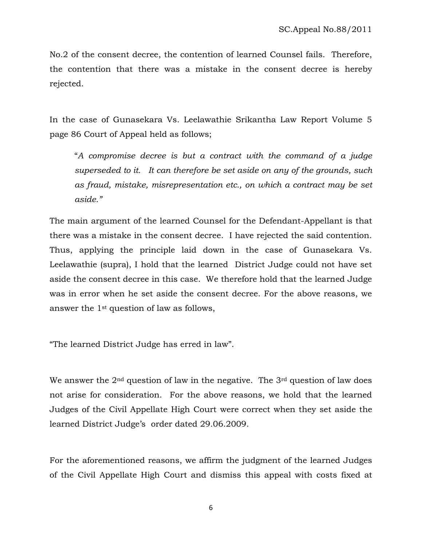No.2 of the consent decree, the contention of learned Counsel fails. Therefore, the contention that there was a mistake in the consent decree is hereby rejected.

In the case of Gunasekara Vs. Leelawathie Srikantha Law Report Volume 5 page 86 Court of Appeal held as follows;

"*A compromise decree is but a contract with the command of a judge superseded to it. It can therefore be set aside on any of the grounds, such as fraud, mistake, misrepresentation etc., on which a contract may be set aside."* 

The main argument of the learned Counsel for the Defendant-Appellant is that there was a mistake in the consent decree. I have rejected the said contention. Thus, applying the principle laid down in the case of Gunasekara Vs. Leelawathie (supra), I hold that the learned District Judge could not have set aside the consent decree in this case. We therefore hold that the learned Judge was in error when he set aside the consent decree. For the above reasons, we answer the 1st question of law as follows,

"The learned District Judge has erred in law".

We answer the  $2<sup>nd</sup>$  question of law in the negative. The  $3<sup>rd</sup>$  question of law does not arise for consideration. For the above reasons, we hold that the learned Judges of the Civil Appellate High Court were correct when they set aside the learned District Judge's order dated 29.06.2009.

For the aforementioned reasons, we affirm the judgment of the learned Judges of the Civil Appellate High Court and dismiss this appeal with costs fixed at